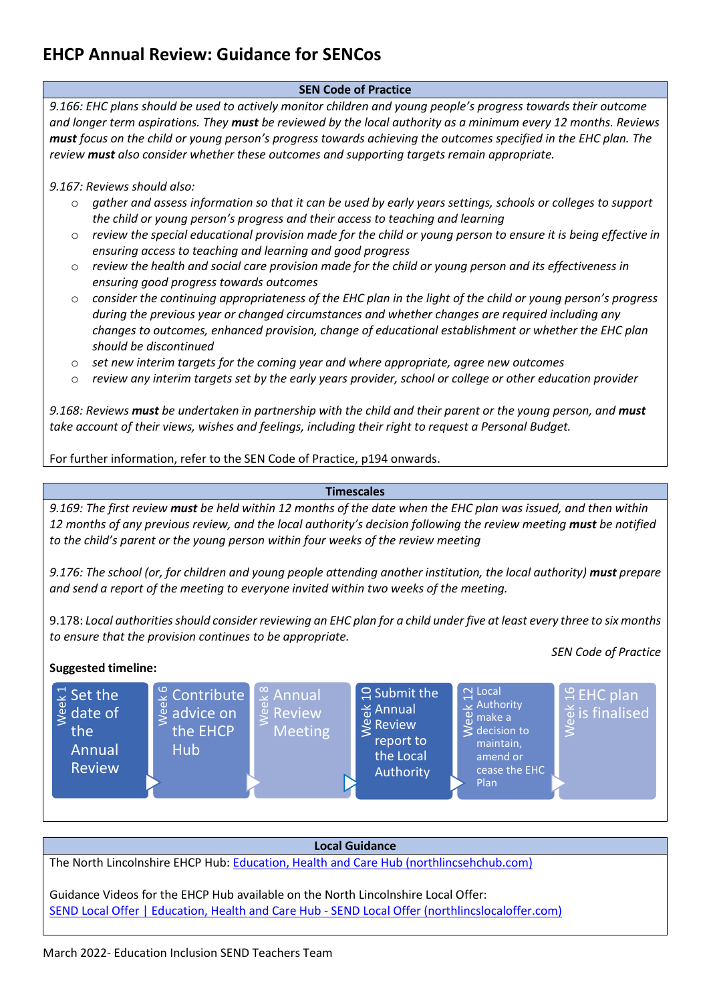## **SEN Code of Practice**

*9.166: EHC plans should be used to actively monitor children and young people's progress towards their outcome and longer term aspirations. They must be reviewed by the local authority as a minimum every 12 months. Reviews must focus on the child or young person's progress towards achieving the outcomes specified in the EHC plan. The review must also consider whether these outcomes and supporting targets remain appropriate.* 

#### *9.167: Reviews should also:*

- o *gather and assess information so that it can be used by early years settings, schools or colleges to support the child or young person's progress and their access to teaching and learning*
- o *review the special educational provision made for the child or young person to ensure it is being effective in ensuring access to teaching and learning and good progress*
- o *review the health and social care provision made for the child or young person and its effectiveness in ensuring good progress towards outcomes*
- o *consider the continuing appropriateness of the EHC plan in the light of the child or young person's progress during the previous year or changed circumstances and whether changes are required including any changes to outcomes, enhanced provision, change of educational establishment or whether the EHC plan should be discontinued*
- o *set new interim targets for the coming year and where appropriate, agree new outcomes*
- o *review any interim targets set by the early years provider, school or college or other education provider*

9.168: Reviews must be undertaken in partnership with the child and their parent or the young person, and must *take account of their views, wishes and feelings, including their right to request a Personal Budget.* 

For further information, refer to the SEN Code of Practice, p194 onwards.

#### **Timescales**

*9.169: The first review must be held within 12 months of the date when the EHC plan was issued, and then within 12 months of any previous review, and the local authority's decision following the review meeting must be notified to the child's parent or the young person within four weeks of the review meeting* 

*9.176: The school (or, for children and young people attending another institution, the local authority) must prepare and send a report of the meeting to everyone invited within two weeks of the meeting.* 

9.178: *Local authorities should consider reviewing an EHC plan for a child under five at least every three to six months to ensure that the provision continues to be appropriate.* 

# **Suggested timeline:**

*SEN Code of Practice*



#### **Local Guidance**

The North Lincolnshire EHCP Hub[: Education, Health and Care Hub \(northlincsehchub.com\)](https://www.northlincsehchub.com/authgate/) 

Guidance Videos for the EHCP Hub available on the North Lincolnshire Local Offer: [SEND Local Offer | Education, Health and Care Hub -](https://www.northlincslocaloffer.com/parents-and-carers/education-health-and-care-hub/) SEND Local Offer (northlincslocaloffer.com)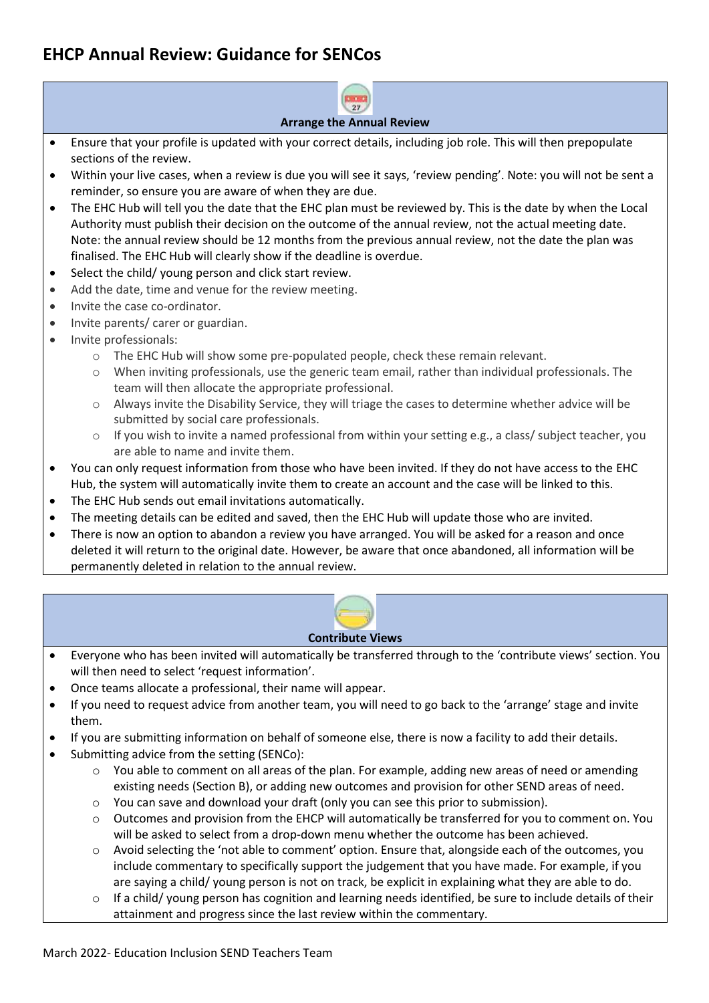

#### **Arrange the Annual Review**

- Ensure that your profile is updated with your correct details, including job role. This will then prepopulate sections of the review.
- Within your live cases, when a review is due you will see it says, 'review pending'. Note: you will not be sent a reminder, so ensure you are aware of when they are due.
- The EHC Hub will tell you the date that the EHC plan must be reviewed by. This is the date by when the Local Authority must publish their decision on the outcome of the annual review, not the actual meeting date. Note: the annual review should be 12 months from the previous annual review, not the date the plan was finalised. The EHC Hub will clearly show if the deadline is overdue.
- Select the child/ young person and click start review.
- Add the date, time and venue for the review meeting.
- Invite the case co-ordinator.
- Invite parents/ carer or guardian.
- Invite professionals:
	- o The EHC Hub will show some pre-populated people, check these remain relevant.
	- $\circ$  When inviting professionals, use the generic team email, rather than individual professionals. The team will then allocate the appropriate professional.
	- o Always invite the Disability Service, they will triage the cases to determine whether advice will be submitted by social care professionals.
	- $\circ$  If you wish to invite a named professional from within your setting e.g., a class/ subject teacher, you are able to name and invite them.
- You can only request information from those who have been invited. If they do not have access to the EHC Hub, the system will automatically invite them to create an account and the case will be linked to this.
- The EHC Hub sends out email invitations automatically.
- The meeting details can be edited and saved, then the EHC Hub will update those who are invited.
- There is now an option to abandon a review you have arranged. You will be asked for a reason and once deleted it will return to the original date. However, be aware that once abandoned, all information will be permanently deleted in relation to the annual review.



## **Contribute Views**

- Everyone who has been invited will automatically be transferred through to the 'contribute views' section. You will then need to select 'request information'.
- Once teams allocate a professional, their name will appear.
- If you need to request advice from another team, you will need to go back to the 'arrange' stage and invite them.
- If you are submitting information on behalf of someone else, there is now a facility to add their details.
- Submitting advice from the setting (SENCo):
	- $\circ$  You able to comment on all areas of the plan. For example, adding new areas of need or amending existing needs (Section B), or adding new outcomes and provision for other SEND areas of need.
	- $\circ$  You can save and download your draft (only you can see this prior to submission).
	- $\circ$  Outcomes and provision from the EHCP will automatically be transferred for you to comment on. You will be asked to select from a drop-down menu whether the outcome has been achieved.
	- $\circ$  Avoid selecting the 'not able to comment' option. Ensure that, alongside each of the outcomes, you include commentary to specifically support the judgement that you have made. For example, if you are saying a child/ young person is not on track, be explicit in explaining what they are able to do.
	- $\circ$  If a child/ young person has cognition and learning needs identified, be sure to include details of their attainment and progress since the last review within the commentary.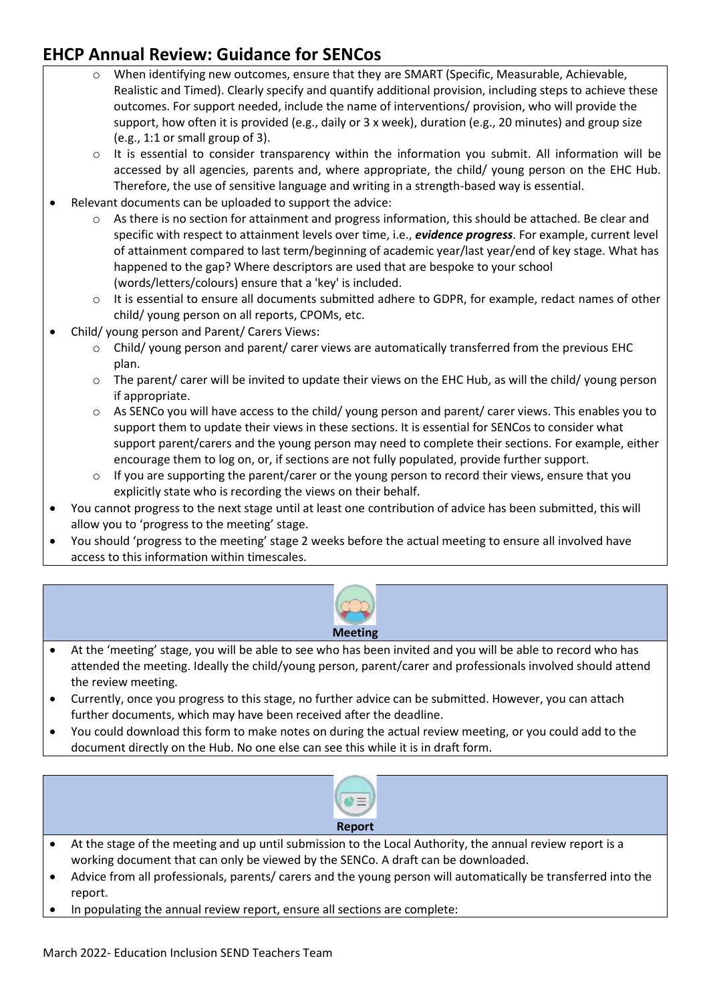support, how often it is provided (e.g., daily or 3 x week), duration (e.g., 20 minutes) and group size When identifying new outcomes, ensure that they are SMART (Specific, Measurable, Achievable, Realistic and Timed). Clearly specify and quantify additional provision, including steps to achieve these outcomes. For support needed, include the name of interventions/ provision, who will provide the (e.g., 1:1 or small group of 3).

 o It is essential to consider transparency within the information you submit. All information will be accessed by all agencies, parents and, where appropriate, the child/ young person on the EHC Hub. Therefore, the use of sensitive language and writing in a strength-based way is essential.

- Relevant documents can be uploaded to support the advice:
	- $\circ$  As there is no section for attainment and progress information, this should be attached. Be clear and specific with respect to attainment levels over time, i.e., *evidence progress*. For example, current level of attainment compared to last term/beginning of academic year/last year/end of key stage. What has happened to the gap? Where descriptors are used that are bespoke to your school (words/letters/colours) ensure that a 'key' is included.
	- o It is essential to ensure all documents submitted adhere to GDPR, for example, redact names of other child/ young person on all reports, CPOMs, etc.
- Child/ young person and Parent/ Carers Views:
	- $\circ$  Child/ young person and parent/ carer views are automatically transferred from the previous EHC plan.
	- $\circ$  The parent/ carer will be invited to update their views on the EHC Hub, as will the child/ young person if appropriate.
	- o As SENCo you will have access to the child/ young person and parent/ carer views. This enables you to support them to update their views in these sections. It is essential for SENCos to consider what support parent/carers and the young person may need to complete their sections. For example, either encourage them to log on, or, if sections are not fully populated, provide further support.
	- $\circ$  If you are supporting the parent/carer or the young person to record their views, ensure that you explicitly state who is recording the views on their behalf.
- You cannot progress to the next stage until at least one contribution of advice has been submitted, this will allow you to 'progress to the meeting' stage.
- • You should 'progress to the meeting' stage 2 weeks before the actual meeting to ensure all involved have access to this information within timescales.



- At the 'meeting' stage, you will be able to see who has been invited and you will be able to record who has attended the meeting. Ideally the child/young person, parent/carer and professionals involved should attend the review meeting.
- Currently, once you progress to this stage, no further advice can be submitted. However, you can attach further documents, which may have been received after the deadline.
- You could download this form to make notes on during the actual review meeting, or you could add to the • document directly on the Hub. No one else can see this while it is in draft form.



- Advice from all professionals, parents/ carers and the young person will automatically be transferred into the report.
- In populating the annual review report, ensure all sections are complete: